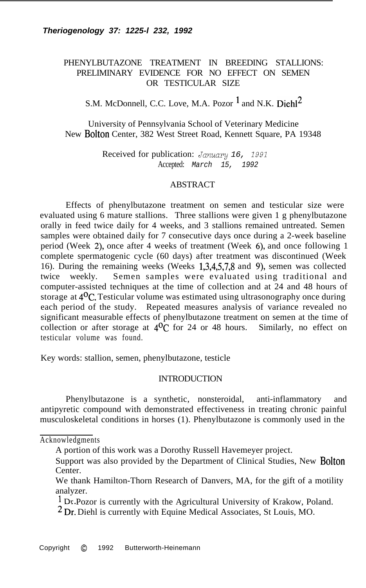# PHENYLBUTAZONE TREATMENT IN BREEDING STALLIONS: PRELIMINARY EVIDENCE FOR NO EFFECT ON SEMEN OR TESTICULAR SIZE

# S.M. McDonnell, C.C. Love, M.A. Pozor  $<sup>1</sup>$  and N.K. Diehl<sup>2</sup></sup>

University of Pennsylvania School of Veterinary Medicine New Bolton Center, 382 West Street Road, Kennett Square, PA 19348

> Received for publication: January 16, 1991 Accepted: *March 15, 1992*

### **ABSTRACT**

Effects of phenylbutazone treatment on semen and testicular size were evaluated using 6 mature stallions. Three stallions were given 1 g phenylbutazone orally in feed twice daily for 4 weeks, and 3 stallions remained untreated. Semen samples were obtained daily for 7 consecutive days once during a 2-week baseline period (Week 2), once after 4 weeks of treatment (Week 6), and once following 1 complete spermatogenic cycle (60 days) after treatment was discontinued (Week 16). During the remaining weeks (Weeks 1,3,4,5,7,8 and 9), semen was collected twice weekly. Semen samples were evaluated using traditional and computer-assisted techniques at the time of collection and at 24 and 48 hours of storage at  $4^{0}$ C. Testicular volume was estimated using ultrasonography once during each period of the study. Repeated measures analysis of variance revealed no significant measurable effects of phenylbutazone treatment on semen at the time of collection or after storage at  $4^{0}$ C for 24 or 48 hours. Similarly, no effect on testicular volume was found.

Key words: stallion, semen, phenylbutazone, testicle

### **INTRODUCTION**

Phenylbutazone is a synthetic, nonsteroidal, anti-inflammatory and antipyretic compound with demonstrated effectiveness in treating chronic painful musculoskeletal conditions in horses (1). Phenylbutazone is commonly used in the

Acknowledgments

A portion of this work was a Dorothy Russell Havemeyer project.

Support was also provided by the Department of Clinical Studies, New Bolton Center.

We thank Hamilton-Thorn Research of Danvers, MA, for the gift of a motility analyzer.

<sup>&</sup>lt;sup>1</sup> Dr Pozor is currently with the Agricultural University of Krakow, Poland.

<sup>2</sup> Dr: Diehl is currently with Equine Medical Associates, St Louis, MO.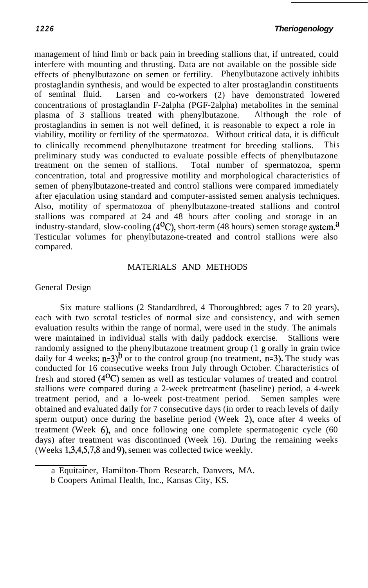management of hind limb or back pain in breeding stallions that, if untreated, could interfere with mounting and thrusting. Data are not available on the possible side effects of phenylbutazone on semen or fertility. Phenylbutazone actively inhibits prostaglandin synthesis, and would be expected to alter prostaglandin constituents of seminal fluid. Larsen and co-workers (2) have demonstrated lowered concentrations of prostaglandin F-2alpha (PGF-2alpha) metabolites in the seminal plasma of 3 stallions treated with phenylbutazone. Although the role of prostaglandins in semen is not well defined, it is reasonable to expect a role in viability, motility or fertility of the spermatozoa. Without critical data, it is difficult to clinically recommend phenylbutazone treatment for breeding stallions. This preliminary study was conducted to evaluate possible effects of phenylbutazone treatment on the semen of stallions. Total number of spermatozoa, sperm concentration, total and progressive motility and morphological characteristics of semen of phenylbutazone-treated and control stallions were compared immediately after ejaculation using standard and computer-assisted semen analysis techniques. Also, motility of spermatozoa of phenylbutazone-treated stallions and control stallions was compared at 24 and 48 hours after cooling and storage in an industry-standard, slow-cooling  $(4^{\circ}C)$ , short-term (48 hours) semen storage system.<sup>a</sup> Testicular volumes for phenylbutazone-treated and control stallions were also compared.

# MATERIALS AND METHODS

# General Design

Six mature stallions (2 Standardbred, 4 Thoroughbred; ages 7 to 20 years), each with two scrotal testicles of normal size and consistency, and with semen evaluation results within the range of normal, were used in the study. The animals were maintained in individual stalls with daily paddock exercise. Stallions were randomly assigned to the phenylbutazone treatment group (1 g orally in grain twice daily for 4 weeks;  $n=3$ <sup>b</sup> or to the control group (no treatment,  $n=3$ ). The study was conducted for 16 consecutive weeks from July through October. Characteristics of fresh and stored  $(4^{\circ}C)$  semen as well as testicular volumes of treated and control stallions were compared during a 2-week pretreatment (baseline) period, a 4-week treatment period, and a lo-week post-treatment period. Semen samples were obtained and evaluated daily for 7 consecutive days (in order to reach levels of daily sperm output) once during the baseline period (Week 2), once after 4 weeks of treatment (Week 6), and once following one complete spermatogenic cycle (60 days) after treatment was discontinued (Week 16). During the remaining weeks (Weeks 1,3,4,5,7,8 and 9), semen was collected twice weekly.

a Equitainer, Hamilton-Thorn Research, Danvers, MA.

b Coopers Animal Health, Inc., Kansas City, KS.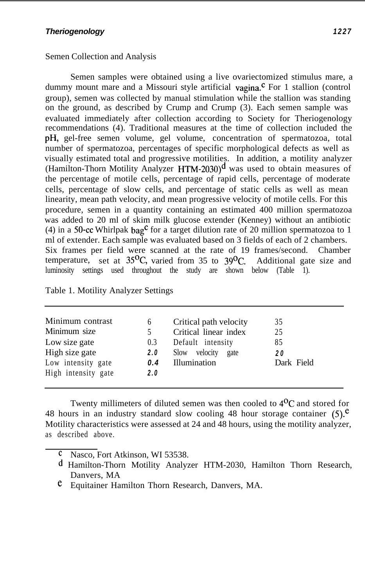# Semen Collection and Analysis

Semen samples were obtained using a live ovariectomized stimulus mare, a dummy mount mare and a Missouri style artificial  $v_{\text{agina}}^{\text{c}}$ . For 1 stallion (control group), semen was collected by manual stimulation while the stallion was standing on the ground, as described by Crump and Crump (3). Each semen sample was evaluated immediately after collection according to Society for Theriogenology recommendations (4). Traditional measures at the time of collection included the pH, gel-free semen volume, gel volume, concentration of spermatozoa, total number of spermatozoa, percentages of specific morphological defects as well as visually estimated total and progressive motilities. In addition, a motility analyzer (Hamilton-Thorn Motility Analyzer HTM-2030) $<sup>d</sup>$  was used to obtain measures of</sup> the percentage of motile cells, percentage of rapid cells, percentage of moderate cells, percentage of slow cells, and percentage of static cells as well as mean linearity, mean path velocity, and mean progressive velocity of motile cells. For this procedure, semen in a quantity containing an estimated 400 million spermatozoa was added to 20 ml of skim milk glucose extender (Kenney) without an antibiotic (4) in a 50-cc Whirlpak  $bag<sup>c</sup>$  for a target dilution rate of 20 million spermatozoa to 1 ml of extender. Each sample was evaluated based on 3 fields of each of 2 chambers. Six frames per field were scanned at the rate of 19 frames/second. Chamber temperature, set at  $35^{\circ}$ C, varied from 35 to  $39^{\circ}$ C. Additional gate size and luminosity settings used throughout the study are shown below (Table 1).

|  |  | Table 1. Motility Analyzer Settings |  |
|--|--|-------------------------------------|--|
|--|--|-------------------------------------|--|

| Minimum contrast    | 6   | Critical path velocity   | 35         |
|---------------------|-----|--------------------------|------------|
| Minimum size        |     | Critical linear index    | 25         |
| Low size gate       | 0.3 | Default intensity        | 85         |
| High size gate      | 2.0 | velocity<br>Slow<br>gate | 20         |
| Low intensity gate  | 0.4 | Illumination             | Dark Field |
| High intensity gate | 2.0 |                          |            |

Twenty millimeters of diluted semen was then cooled to  $4^{0}C$  and stored for 48 hours in an industry standard slow cooling 48 hour storage container  $(5)$ .<sup>e</sup> Motility characteristics were assessed at 24 and 48 hours, using the motility analyzer, as described above.

- Nasco, Fort Atkinson, WI 53538.
- d Hamilton-Thorn Motility Analyzer HTM-2030, Hamilton Thorn Research, Danvers, MA
- e Equitainer Hamilton Thorn Research, Danvers, MA.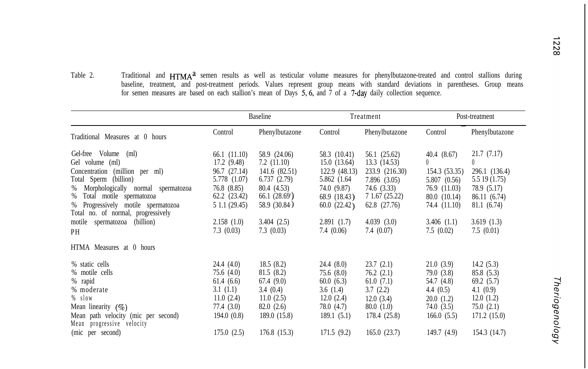- 1228
- Table 2. Traditional and HTMA<sup>d</sup> semen results as well as testicular volume measures for phenylbutazone-treated and control stallions during baseline, treatment, and post-treatment periods. Values represent group means with standard deviations in parentheses. Group means for semen measures are based on each stallion's mean of Days 5,6, and 7 of a 7-day daily collection sequence.

|                                                                                                                                                                                                                                                                                                  | <b>Baseline</b>                                                                                                                               |                                                                                                                                     | Treatment                                                                                                                             |                                                                                                                                           | Post-treatment                                                                                                              |                                                                                                                                  |
|--------------------------------------------------------------------------------------------------------------------------------------------------------------------------------------------------------------------------------------------------------------------------------------------------|-----------------------------------------------------------------------------------------------------------------------------------------------|-------------------------------------------------------------------------------------------------------------------------------------|---------------------------------------------------------------------------------------------------------------------------------------|-------------------------------------------------------------------------------------------------------------------------------------------|-----------------------------------------------------------------------------------------------------------------------------|----------------------------------------------------------------------------------------------------------------------------------|
| Traditional Measures at 0 hours                                                                                                                                                                                                                                                                  | Control                                                                                                                                       | Phenylbutazone                                                                                                                      | Control                                                                                                                               | Phenylbutazone                                                                                                                            | Control                                                                                                                     | Phenylbutazone                                                                                                                   |
| Gel-free Volume (ml)<br>Gel volume (ml)<br>Concentration (million per ml)<br>Total Sperm (billion)<br>% Morphologically normal spermatozoa<br>Total motile spermatozoa<br>%<br>% Progressively motile spermatozoa<br>Total no. of normal, progressively<br>motile spermatozoa<br>(billion)<br>PH | 66.1 (11.10)<br>17.2(9.48)<br>96.7 (27.14)<br>5.778 (1.07)<br>76.8(8.85)<br>$62.2$ $(23.42)$<br>5 1.1 (29.45)<br>2.158(1.0)<br>$7.3 \ (0.03)$ | 58.9 (24.06)<br>7.2(11.10)<br>141.6 (82.51)<br>6.737(2.79)<br>80.4 (4.53)<br>66.1(28.69)<br>58.9 (30.84)<br>3.404(2.5)<br>7.3(0.03) | 58.3 (10.41)<br>15.0(13.64)<br>122.9(48.13)<br>5.862 (1.64)<br>74.0 (9.87)<br>68.9 (18.43)<br>60.0(22.42)<br>2.891(1.7)<br>7.4 (0.06) | 56.1 (25.62)<br>13.3(14.53)<br>233.9 (216.30)<br>7.896 (3.05)<br>74.6 (3.33)<br>7 1.67 (25.22)<br>62.8 (27.76)<br>4.039(3.0)<br>7.4(0.07) | 40.4(8.67)<br>0<br>154.3 (53.35)<br>5.807 (0.56)<br>76.9 (11.03)<br>80.0 (10.14)<br>74.4 (11.10)<br>3.406(1.1)<br>7.5(0.02) | 21.7(7.17)<br>$\theta$<br>296.1 (136.4)<br>5.5 19 (1.75)<br>78.9 (5.17)<br>86.11 (6.74)<br>81.1(6.74)<br>3.619(1.3)<br>7.5(0.01) |
| HTMA Measures at 0 hours                                                                                                                                                                                                                                                                         |                                                                                                                                               |                                                                                                                                     |                                                                                                                                       |                                                                                                                                           |                                                                                                                             |                                                                                                                                  |
| % static cells<br>% motile cells<br>% rapid<br>% moderate<br>$%$ slow<br>Mean linearity $(\% )$<br>Mean path velocity (mic per second)<br>Mean progressive velocity                                                                                                                              | 24.4 (4.0)<br>75.6 (4.0)<br>61.4(6.6)<br>3.1(1.1)<br>11.0(2.4)<br>77.4 (3.0)<br>194.0(0.8)                                                    | 18.5(8.2)<br>81.5(8.2)<br>67.4(9.0)<br>3.4(0.4)<br>11.0(2.5)<br>82.0(2.6)<br>189.0 (15.8)                                           | 24.4 (8.0)<br>75.6(8.0)<br>60.0(6.3)<br>3.6(1.4)<br>12.0(2.4)<br>78.0 (4.7)<br>189.1(5.1)                                             | 23.7(2.1)<br>76.2(2.1)<br>61.0(7.1)<br>3.7(2.2)<br>12.0(3.4)<br>80.0 (1.0)<br>178.4 (25.8)                                                | 21.0(3.9)<br>79.0 (3.8)<br>54.7 (4.8)<br>4.4 $(0.5)$<br>20.0(1.2)<br>74.0 (3.5)<br>166.0(5.5)                               | 14.2(5.3)<br>85.8 (5.3)<br>69.2(5.7)<br>4.1 $(0.9)$<br>12.0(1.2)<br>75.0(2.1)<br>171.2(15.0)                                     |
| (mic per second)                                                                                                                                                                                                                                                                                 | 175.0(2.5)                                                                                                                                    | 176.8(15.3)                                                                                                                         | 171.5(9.2)                                                                                                                            | 165.0(23.7)                                                                                                                               | 149.7(4.9)                                                                                                                  | 154.3(14.7)                                                                                                                      |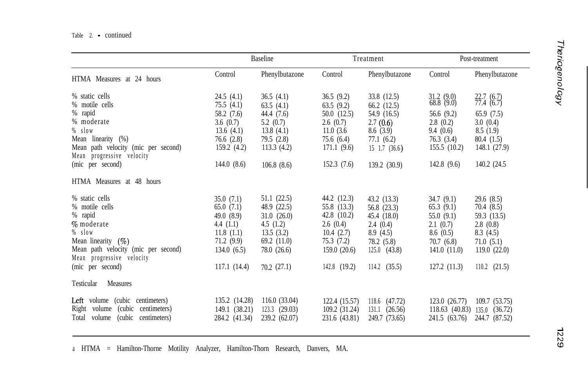### Table 2. - continued

|                                                                  |               | <b>Baseline</b>   |                | Treatment                   |                       | Post-treatment         |
|------------------------------------------------------------------|---------------|-------------------|----------------|-----------------------------|-----------------------|------------------------|
| HTMA Measures at 24 hours                                        | Control       | Phenylbutazone    | Control        | Phenylbutazone              | Control               | Phenylbutazone         |
| % static cells                                                   | 24.5(4.1)     | 36.5(4.1)         | 36.5(9.2)      | 33.8 (12.5)                 | 31.2 (9.0) 68.8 (9.0) | $^{22.7}_{77.4}$ (6.7) |
| % motile cells                                                   | 75.5(4.1)     | 63.5(4.1)         | 63.5(9.2)      | 66.2(12.5)                  |                       |                        |
| % rapid                                                          | 58.2 (7.6)    | 44.4 (7.6)        | 50.0(12.5)     | 54.9 (16.5)                 | 56.6 $(9.2)$          | 65.9(7.5)              |
| % moderate                                                       | 3.6(0.7)      | 5.2 $(0.7)$       | 2.6(0.7)       | 2.7(0.6)                    | 2.8(0.2)              | 3.0(0.4)               |
| $%$ slow                                                         | 13.6(4.1)     | 13.8(4.1)         | 11.0(3.6)      | 8.6(3.9)                    | 9.4(0.6)              | 8.5(1.9)               |
| Mean linearity (%)                                               | 76.6(2.8)     | 79.5(2.8)         | 75.6(6.4)      | 77.1(6.2)                   | 76.3(3.4)             | 80.4(1.5)              |
| Mean path velocity (mic per second)<br>Mean progressive velocity | 159.2(4.2)    | 113.3(4.2)        | 171.1(9.6)     | $15 \quad 1.7 \quad (36.6)$ | 155.5(10.2)           | 148.1 (27.9)           |
| (mic per second)                                                 | 144.0(8.6)    | 106.8(8.6)        | 152.3(7.6)     | 139.2 (30.9)                | 142.8(9.6)            | 140.2 (24.5)           |
| HTMA Measures at 48 hours                                        |               |                   |                |                             |                       |                        |
| % static cells                                                   | 35.0(7.1)     | 51.1 (22.5)       | 44.2 (12.3)    | 43.2 (13.3)                 | 34.7(9.1)             | 29.6(8.5)              |
| % motile cells                                                   | 65.0(7.1)     | 48.9 (22.5)       | 55.8 (13.3)    | 56.8 (23.3)                 | 65.3(9.1)             | 70.4 (8.5)             |
| % rapid                                                          | 49.0 (8.9)    | 31.0(26.0)        | 42.8 $(10.2)$  | 45.4 (18.0)                 | 55.0(9.1)             | 59.3 (13.5)            |
| $\%$ moderate                                                    | 4.4 $(1.1)$   | 4.5 $(1.2)$       | 2.6(0.4)       | 2.4(0.4)                    | 2.1(0.7)              | 2.8(0.8)               |
| % slow                                                           | 11.8(1.1)     | 13.5(3.2)         | 10.4(2.7)      | 8.9(4.5)                    | 8.6(0.5)              | 8.3(4.5)               |
| Mean linearity $(\% )$                                           | 71.2(9.9)     | 69.2(11.0)        | 75.3(7.2)      | 78.2 (5.8)                  | 70.7(6.8)             | 71.0(5.1)              |
| Mean path velocity (mic per second)<br>Mean progressive velocity | 134.0(6.5)    | 78.0 (26.6)       | 159.0(20.6)    | $125.0 \quad (43.8)$        | 141.0(11.0)           | 119.0(22.0)            |
| (mic per second)                                                 | 117.1(14.4)   | 70.2(27.1)        | $142.8$ (19.2) | $114.2$ (35.5)              | 127.2(11.3)           | $110.2$ $(21.5)$       |
| Measures<br>Testicular                                           |               |                   |                |                             |                       |                        |
| Left volume (cubic centimeters)                                  | 135.2 (14.28) | 116.0(33.04)      | 122.4 (15.57)  | $118.6$ $(47.72)$           | 123.0(26.77)          | 109.7 (53.75)          |
| Right volume<br>(cubic)<br>centimeters)                          | 149.1 (38.21) | $123.3$ $(29.03)$ | 109.2 (31.24)  | 131.1(26.56)                | 118.63 (40.83)        | 135.0 (36.72)          |
| Total volume<br>(cubic)<br>centimeters)                          | 284.2 (41.34) | 239.2 (62.07)     | 231.6 (43.81)  | 249.7 (73.65)               | 241.5 (63.76)         | 244.7 (87.52)          |

**T -. 0 In**

a HTMA = Hamilton-Thorne Motility Analyzer, Hamilton-Thorn Research, Danvers, MA.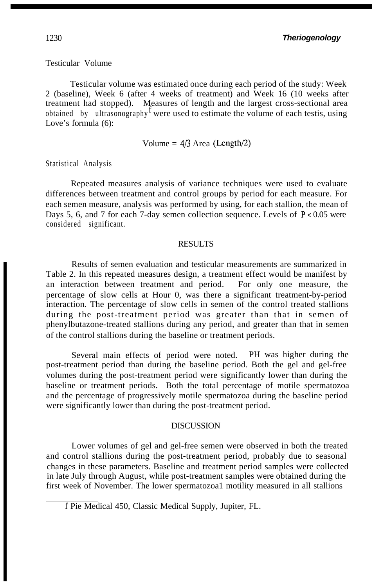### Testicular Volume

Testicular volume was estimated once during each period of the study: Week 2 (baseline), Week 6 (after 4 weeks of treatment) and Week 16 (10 weeks after treatment had stopped). Measures of length and the largest cross-sectional area obtained by ultrasonography<sup>f</sup> were used to estimate the volume of each testis, using Love's formula (6):

Volume = 
$$
4/3
$$
 Area (Length/2)

Statistical Analysis

Repeated measures analysis of variance techniques were used to evaluate differences between treatment and control groups by period for each measure. For each semen measure, analysis was performed by using, for each stallion, the mean of Days 5, 6, and 7 for each 7-day semen collection sequence. Levels of  $P < 0.05$  were considered significant.

### RESULTS

Results of semen evaluation and testicular measurements are summarized in Table 2. In this repeated measures design, a treatment effect would be manifest by an interaction between treatment and period. For only one measure, the percentage of slow cells at Hour 0, was there a significant treatment-by-period interaction. The percentage of slow cells in semen of the control treated stallions during the post-treatment period was greater than that in semen of phenylbutazone-treated stallions during any period, and greater than that in semen of the control stallions during the baseline or treatment periods.

Several main effects of period were noted. PH was higher during the post-treatment period than during the baseline period. Both the gel and gel-free volumes during the post-treatment period were significantly lower than during the baseline or treatment periods. Both the total percentage of motile spermatozoa and the percentage of progressively motile spermatozoa during the baseline period were significantly lower than during the post-treatment period.

### **DISCUSSION**

Lower volumes of gel and gel-free semen were observed in both the treated and control stallions during the post-treatment period, probably due to seasonal changes in these parameters. Baseline and treatment period samples were collected in late July through August, while post-treatment samples were obtained during the first week of November. The lower spermatozoa1 motility measured in all stallions

f Pie Medical 450, Classic Medical Supply, Jupiter, FL.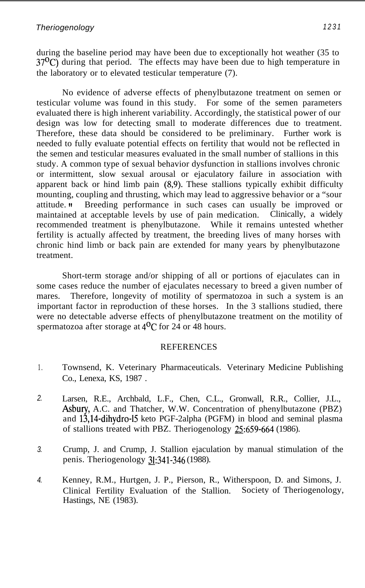during the baseline period may have been due to exceptionally hot weather (35 to  $37<sup>0</sup>C$ ) during that period. The effects may have been due to high temperature in the laboratory or to elevated testicular temperature (7).

No evidence of adverse effects of phenylbutazone treatment on semen or testicular volume was found in this study. For some of the semen parameters evaluated there is high inherent variability. Accordingly, the statistical power of our design was low for detecting small to moderate differences due to treatment. Therefore, these data should be considered to be preliminary. Further work is needed to fully evaluate potential effects on fertility that would not be reflected in the semen and testicular measures evaluated in the small number of stallions in this study. A common type of sexual behavior dysfunction in stallions involves chronic or intermittent, slow sexual arousal or ejaculatory failure in association with apparent back or hind limb pain (8,9). These stallions typically exhibit difficulty mounting, coupling and thrusting, which may lead to aggressive behavior or a "sour attitude. **Heta** Breeding performance in such cases can usually be improved or maintained at acceptable levels by use of pain medication. Clinically, a widely recommended treatment is phenylbutazone. While it remains untested whether fertility is actually affected by treatment, the breeding lives of many horses with chronic hind limb or back pain are extended for many years by phenylbutazone treatment.

Short-term storage and/or shipping of all or portions of ejaculates can in some cases reduce the number of ejaculates necessary to breed a given number of mares. Therefore, longevity of motility of spermatozoa in such a system is an important factor in reproduction of these horses. In the 3 stallions studied, there were no detectable adverse effects of phenylbutazone treatment on the motility of spermatozoa after storage at  $4^{0}C$  for 24 or 48 hours.

# **REFERENCES**

- 1. Townsend, K. Veterinary Pharmaceuticals. Veterinary Medicine Publishing Co., Lenexa, KS, 1987 .
- *2.* Larsen, R.E., Archbald, L.F., Chen, C.L., Gronwall, R.R., Collier, J.L., Asbury, A.C. and Thatcher, W.W. Concentration of phenylbutazone (PBZ) and 13,14-dihydro-15 keto PGF-2alpha (PGFM) in blood and seminal plasma of stallions treated with PBZ. Theriogenology  $25:659-664$  (1986).
- *3.* Crump, J. and Crump, J. Stallion ejaculation by manual stimulation of the penis. Theriogenology 31:341-346 (1988).
- *4.* Kenney, R.M., Hurtgen, J. P., Pierson, R., Witherspoon, D. and Simons, J. Clinical Fertility Evaluation of the Stallion. Society of Theriogenology, Hastings, NE (1983).